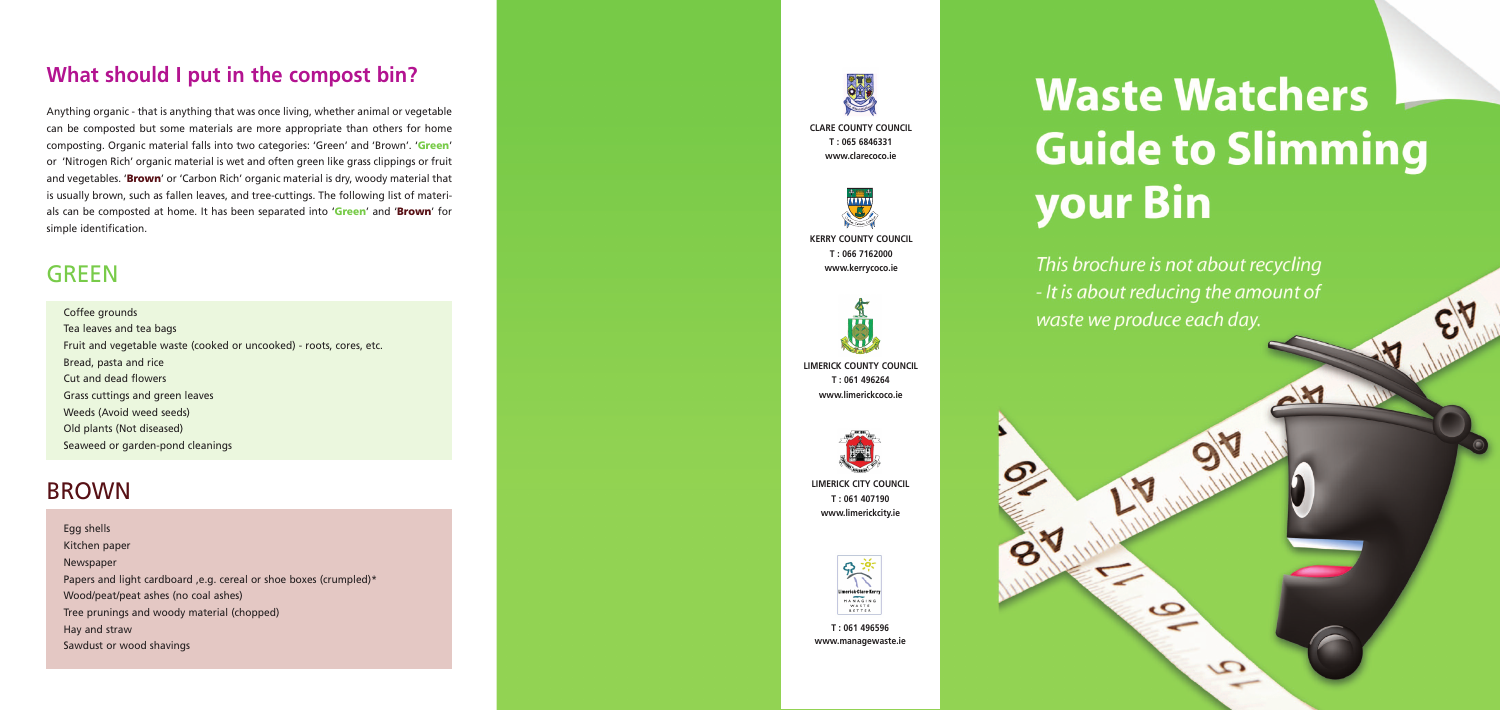# **What should I put in the compost bin?**

Anything organic - that is anything that was once living, whether animal or vegetable can be composted but some materials are more appropriate than others for home composting. Organic material falls into two categories: 'Green' and 'Brown'. '**Green**' or 'Nitrogen Rich' organic material is wet and often green like grass clippings or fruit and vegetables. '**Brown**' or 'Carbon Rich' organic material is dry, woody material that is usually brown, such as fallen leaves, and tree-cuttings. The following list of materials can be composted at home. It has been separated into '**Green**' and '**Brown**' for simple identification.

# **GREEN**

Coffee grounds Tea leaves and tea bags Fruit and vegetable waste (cooked or uncooked) - roots, cores, etc. Bread, pasta and rice Cut and dead flowers Grass cuttings and green leaves Weeds (Avoid weed seeds) Old plants (Not diseased) Seaweed or garden-pond cleanings

## BROWN

Egg shells Kitchen paper Newspaper Papers and light cardboard , e.g. cereal or shoe boxes (crumpled)\* Wood/peat/peat ashes (no coal ashes) Tree prunings and woody material (chopped) Hay and straw Sawdust or wood shavings



**CLARE COUNTY COUNCIL T : 065 6846331 www.clarecoco.ie**



**KERRY COUNTY COUNCIL T : 066 7162000 www.kerrycoco.ie**



**T : 061 496596 www.managewaste.ie**

# **Waste Watchers Guide to Slimming your Bin**

AM



This brochure is not about recycling - It is about reducing the amount of waste we produce each day.

 $\bullet$ 

 $\Omega$ 

 $\circ$ 

**LIMERICK COUNTY COUNCIL T : 061 496264 www.limerickcoco.ie**



**LIMERICK CITY COUNCIL T : 061 407190 www.limerickcity.ie**